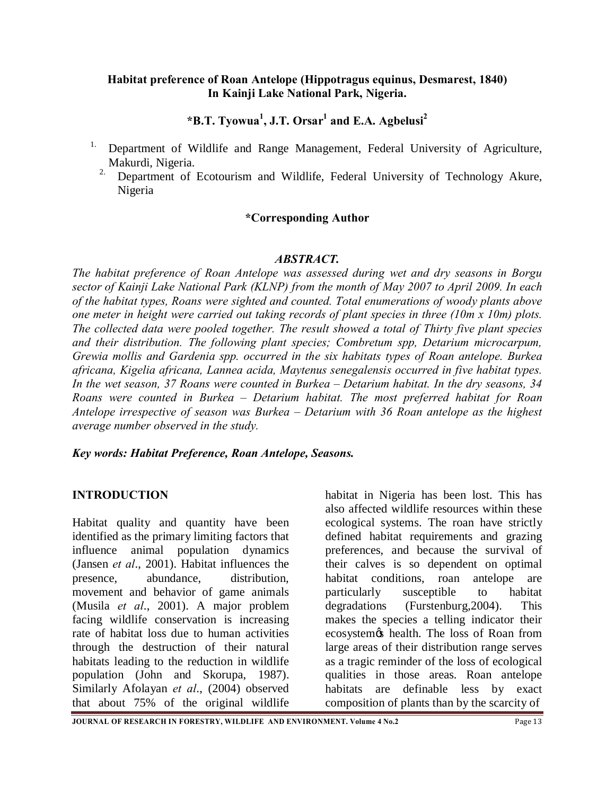**\*B.T. Tyowua<sup>1</sup> , J.T. Orsar1 and E.A. Agbelusi<sup>2</sup>**

- <sup>1.</sup> Department of Wildlife and Range Management, Federal University of Agriculture, Makurdi, Nigeria.
	- <sup>2.</sup> Department of Ecotourism and Wildlife, Federal University of Technology Akure, Nigeria

# **\*Corresponding Author**

### *ABSTRACT.*

*The habitat preference of Roan Antelope was assessed during wet and dry seasons in Borgu sector of Kainji Lake National Park (KLNP) from the month of May 2007 to April 2009. In each of the habitat types, Roans were sighted and counted. Total enumerations of woody plants above one meter in height were carried out taking records of plant species in three (10m x 10m) plots. The collected data were pooled together. The result showed a total of Thirty five plant species and their distribution. The following plant species; Combretum spp, Detarium microcarpum, Grewia mollis and Gardenia spp. occurred in the six habitats types of Roan antelope. Burkea africana, Kigelia africana, Lannea acida, Maytenus senegalensis occurred in five habitat types. In the wet season, 37 Roans were counted in Burkea – Detarium habitat. In the dry seasons, 34 Roans were counted in Burkea – Detarium habitat. The most preferred habitat for Roan Antelope irrespective of season was Burkea – Detarium with 36 Roan antelope as the highest average number observed in the study.*

#### *Key words: Habitat Preference, Roan Antelope, Seasons.*

# **INTRODUCTION**

Habitat quality and quantity have been identified as the primary limiting factors that influence animal population dynamics (Jansen *et al*., 2001). Habitat influences the presence, abundance, distribution, movement and behavior of game animals (Musila *et al*., 2001). A major problem facing wildlife conservation is increasing rate of habitat loss due to human activities through the destruction of their natural habitats leading to the reduction in wildlife population (John and Skorupa, 1987). Similarly Afolayan *et al*., (2004) observed that about 75% of the original wildlife

habitat in Nigeria has been lost. This has also affected wildlife resources within these ecological systems. The roan have strictly defined habitat requirements and grazing preferences, and because the survival of their calves is so dependent on optimal habitat conditions, roan antelope are particularly susceptible to habitat degradations (Furstenburg,2004). This makes the species a telling indicator their ecosystem's health. The loss of Roan from large areas of their distribution range serves as a tragic reminder of the loss of ecological qualities in those areas. Roan antelope habitats are definable less by exact composition of plants than by the scarcity of

**JOURNAL OF RESEARCH IN FORESTRY, WILDLIFE AND ENVIRONMENT. Volume 4 No.2** Page 13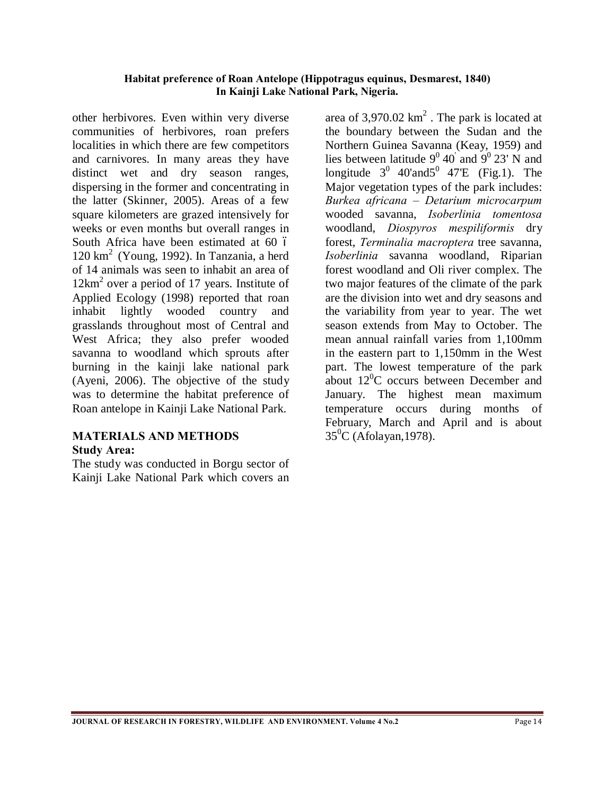other herbivores. Even within very diverse communities of herbivores, roan prefers localities in which there are few competitors and carnivores. In many areas they have distinct wet and dry season ranges, dispersing in the former and concentrating in the latter (Skinner, 2005). Areas of a few square kilometers are grazed intensively for weeks or even months but overall ranges in South Africa have been estimated at 60  $\acute{o}$  $120 \text{ km}^2$  (Young, 1992). In Tanzania, a herd of 14 animals was seen to inhabit an area of  $12km^2$  over a period of 17 years. Institute of Applied Ecology (1998) reported that roan inhabit lightly wooded country and grasslands throughout most of Central and West Africa; they also prefer wooded savanna to woodland which sprouts after burning in the kainji lake national park (Ayeni, 2006). The objective of the study was to determine the habitat preference of Roan antelope in Kainji Lake National Park.

# **MATERIALS AND METHODS Study Area:**

The study was conducted in Borgu sector of Kainji Lake National Park which covers an

area of  $3.970.02 \text{ km}^2$ . The park is located at the boundary between the Sudan and the Northern Guinea Savanna (Keay, 1959) and lies between latitude  $9^0$  40 and  $9^0$  23' N and longitude  $3^0$  40'and $5^0$  47'E (Fig.1). The Major vegetation types of the park includes: *Burkea africana – Detarium microcarpum* wooded savanna, *Isoberlinia tomentosa* woodland, *Diospyros mespiliformis* dry forest, *Terminalia macroptera* tree savanna, *Isoberlinia* savanna woodland, Riparian forest woodland and Oli river complex. The two major features of the climate of the park are the division into wet and dry seasons and the variability from year to year. The wet season extends from May to October. The mean annual rainfall varies from 1,100mm in the eastern part to 1,150mm in the West part. The lowest temperature of the park about  $12^0C$  occurs between December and January. The highest mean maximum temperature occurs during months of February, March and April and is about  $35^0C$  (Afolayan, 1978).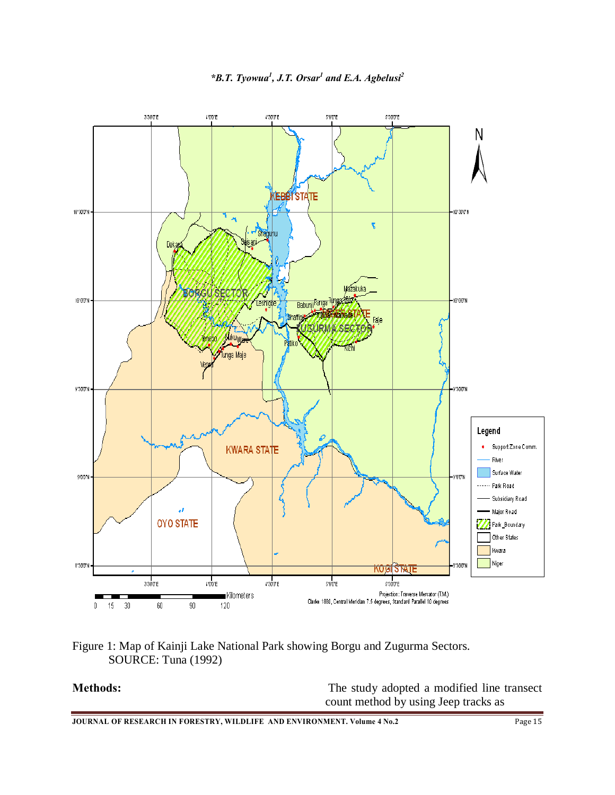

### *\*B.T. Tyowua<sup>1</sup>, J.T. Orsar<sup>1</sup> and E.A. Agbelusi<sup>2</sup>*



**Methods:** The study adopted a modified line transect count method by using Jeep tracks as

**JOURNAL OF RESEARCH IN FORESTRY, WILDLIFE AND ENVIRONMENT. Volume 4 No.2** Page 15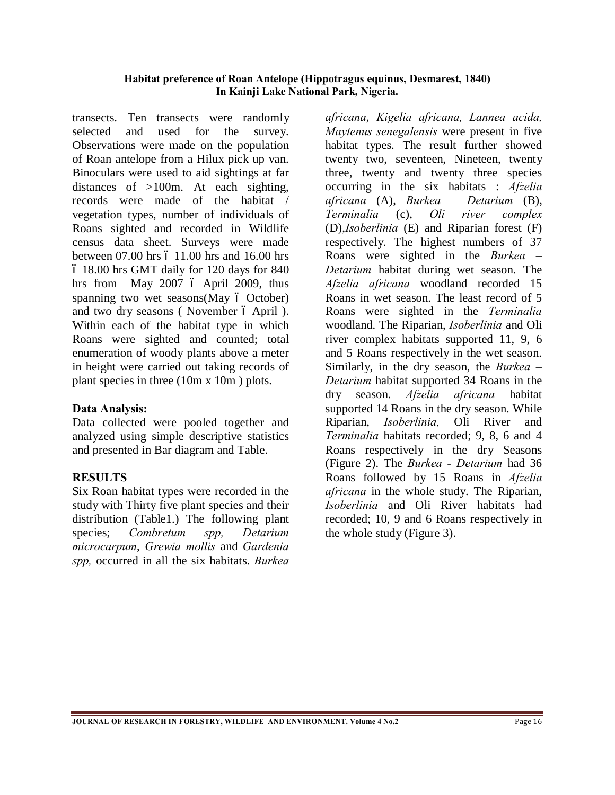transects. Ten transects were randomly selected and used for the survey. Observations were made on the population of Roan antelope from a Hilux pick up van. Binoculars were used to aid sightings at far distances of >100m. At each sighting, records were made of the habitat / vegetation types, number of individuals of Roans sighted and recorded in Wildlife census data sheet. Surveys were made between  $07.00$  hrs  $6$  11.00 hrs and 16.00 hrs – 18.00 hrs GMT daily for 120 days for 840 hrs from May 2007 ó April 2009, thus spanning two wet seasons  $(May \text{ ó October})$ and two dry seasons (November 6 April). Within each of the habitat type in which Roans were sighted and counted; total enumeration of woody plants above a meter in height were carried out taking records of plant species in three (10m x 10m ) plots.

# **Data Analysis:**

Data collected were pooled together and analyzed using simple descriptive statistics and presented in Bar diagram and Table.

# **RESULTS**

Six Roan habitat types were recorded in the study with Thirty five plant species and their distribution (Table1.) The following plant species; *Combretum spp, Detarium microcarpum*, *Grewia mollis* and *Gardenia spp,* occurred in all the six habitats. *Burkea* 

*africana*, *Kigelia africana, Lannea acida, Maytenus senegalensis* were present in five habitat types. The result further showed twenty two, seventeen, Nineteen, twenty three, twenty and twenty three species occurring in the six habitats : *Afzelia africana* (A), *Burkea – Detarium* (B), *Terminalia* (c), *Oli river complex* (D),*Isoberlinia* (E) and Riparian forest (F) respectively. The highest numbers of 37 Roans were sighted in the *Burkea – Detarium* habitat during wet season. The *Afzelia africana* woodland recorded 15 Roans in wet season. The least record of 5 Roans were sighted in the *Terminalia* woodland. The Riparian, *Isoberlinia* and Oli river complex habitats supported 11, 9, 6 and 5 Roans respectively in the wet season. Similarly, in the dry season, the *Burkea – Detarium* habitat supported 34 Roans in the dry season. *Afzelia africana* habitat supported 14 Roans in the dry season. While Riparian, *Isoberlinia,* Oli River and *Terminalia* habitats recorded; 9, 8, 6 and 4 Roans respectively in the dry Seasons (Figure 2). The *Burkea - Detarium* had 36 Roans followed by 15 Roans in *Afzelia africana* in the whole study. The Riparian, *Isoberlinia* and Oli River habitats had recorded; 10, 9 and 6 Roans respectively in the whole study (Figure 3).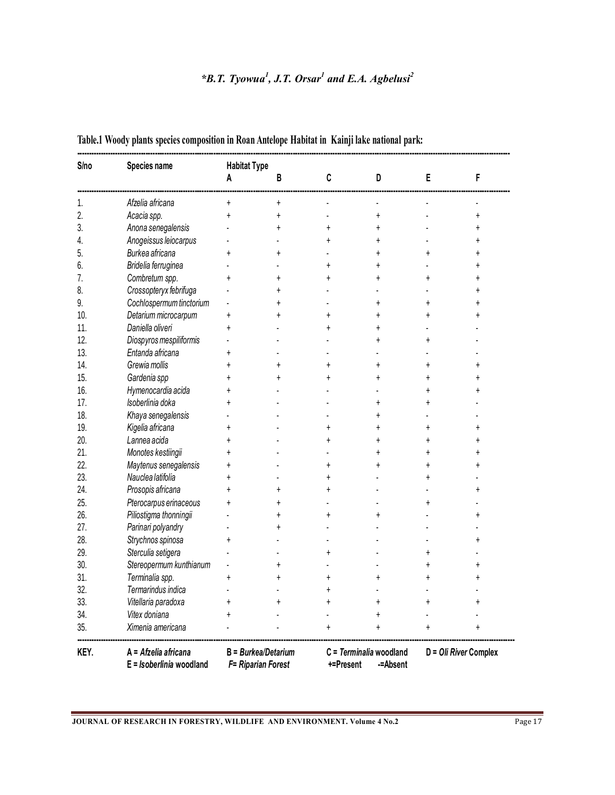# *\*B.T. Tyowua<sup>1</sup> , J.T. Orsar<sup>1</sup> and E.A. Agbelusi<sup>2</sup>*

| <b>S</b> /no | Species name                                     | <b>Habitat Type</b>                         |           |                |                                                   |            |                       |  |
|--------------|--------------------------------------------------|---------------------------------------------|-----------|----------------|---------------------------------------------------|------------|-----------------------|--|
|              |                                                  | A                                           | В         | C              | D                                                 | E          | F                     |  |
| 1.           | Afzelia africana                                 | +                                           | +         |                |                                                   |            |                       |  |
| 2.           | Acacia spp.                                      | $\ddagger$                                  | $\ddot{}$ |                | $\ddot{}$                                         |            | $\ddot{}$             |  |
| 3.           | Anona senegalensis                               |                                             |           | $\ddot{}$      | $\ddagger$                                        |            |                       |  |
| 4.           | Anogeissus leiocarpus                            |                                             |           | $\ddot{}$      | +                                                 |            |                       |  |
| 5.           | Burkea africana                                  |                                             |           |                |                                                   |            |                       |  |
| 6.           | Bridelia ferruginea                              |                                             |           | $\overline{1}$ |                                                   |            |                       |  |
| 7.           | Combretum spp.                                   | $\ddag$                                     |           | 4              |                                                   |            |                       |  |
| 8.           | Crossopteryx febrifuga                           |                                             |           |                |                                                   |            |                       |  |
| 9.           | Cochlospermum tinctorium                         |                                             |           |                |                                                   | $\ddagger$ |                       |  |
| 10.          | Detarium microcarpum                             | $\ddagger$                                  |           | ŧ              |                                                   |            |                       |  |
| 11.          | Daniella oliveri                                 | $\ddagger$                                  |           |                |                                                   |            |                       |  |
| 12.          | Diospyros mespiliformis                          |                                             |           |                |                                                   | 4          |                       |  |
| 13.          | Entanda africana                                 | $\ddag$                                     |           |                |                                                   |            |                       |  |
| 14.          | Grewia mollis                                    | $\ddot{}$                                   |           | $\ddot{}$      | $\ddot{}$                                         | $\pmb{+}$  |                       |  |
| 15.          | Gardenia spp                                     | $\ddot{}$                                   |           | ŧ              |                                                   |            |                       |  |
| 16.          | Hymenocardia acida                               | ŧ                                           |           |                |                                                   |            |                       |  |
| 17.          | Isoberlinia doka                                 | +                                           |           |                |                                                   |            |                       |  |
| 18.          | Khaya senegalensis                               |                                             |           |                |                                                   |            |                       |  |
| 19.          | Kigelia africana                                 | $\ddag$                                     |           | $\ddag$        |                                                   |            |                       |  |
| 20.          | Lannea acida                                     | $\ddot{}$                                   |           | $\ddot{}$      |                                                   |            |                       |  |
| 21.          | Monotes kestiingii                               | $\ddot{}$                                   |           |                | $\ddot{}$                                         | $\ddot{}$  |                       |  |
| 22.          | Maytenus senegalensis                            | t                                           |           | $\ddot{}$      |                                                   |            |                       |  |
| 23.          | Nauclea latifolia                                | $\ddot{}$                                   |           | $\ddot{}$      |                                                   |            |                       |  |
| 24.          | Prosopis africana                                |                                             |           |                |                                                   |            |                       |  |
| 25.          | Pterocarpus erinaceous                           | $\ddot{}$                                   |           |                |                                                   |            |                       |  |
| 26.          | Piliostigma thonningii                           |                                             |           |                |                                                   |            |                       |  |
| 27.          | Parinari polyandry                               |                                             |           |                |                                                   |            |                       |  |
| 28.          | Strychnos spinosa                                | t                                           |           |                |                                                   |            |                       |  |
| 29.          | Sterculia setigera                               |                                             |           |                |                                                   |            |                       |  |
| 30.          | Stereopermum kunthianum                          |                                             |           |                |                                                   |            |                       |  |
| 31.          | Terminalia spp.                                  | $^\mathrm{+}$                               |           | $^\mathrm{+}$  |                                                   |            |                       |  |
| 32.          | Termarindus indica                               |                                             |           | $\ddot{}$      |                                                   |            |                       |  |
| 33.          | Vitellaria paradoxa                              | $\ddot{}$                                   |           | $\ddot{}$      |                                                   |            |                       |  |
| 34.          | Vitex doniana                                    | $\ddagger$                                  |           |                |                                                   |            |                       |  |
| 35.          | Ximenia americana                                |                                             |           | $\ddot{}$      |                                                   |            |                       |  |
| KEY.         | A = Afzelia africana<br>E = Isoberlinia woodland | $B = Burkea/Detarium$<br>F= Riparian Forest |           |                | C = Terminalia woodland<br>-= Absent<br>+=Present |            | D = Oli River Complex |  |

# **Table.1 Woody plants species composition in Roan Antelope Habitat in Kainji lake national park:**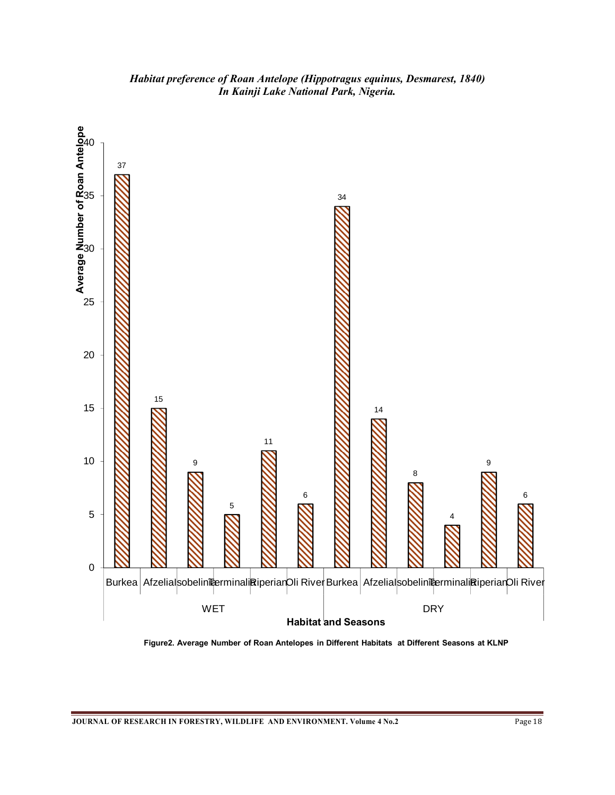

**Figure2. Average Number of Roan Antelopes in Different Habitats at Different Seasons at KLNP**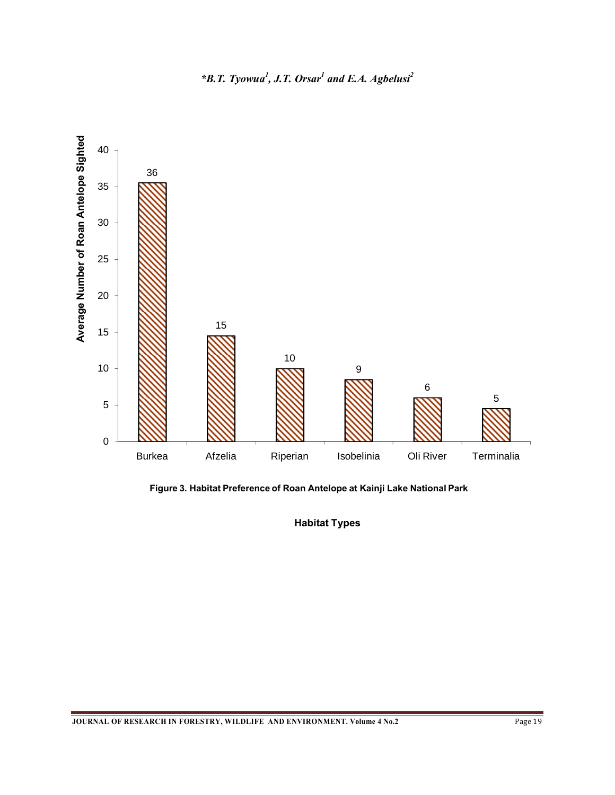

**Figure 3. Habitat Preference of Roan Antelope at Kainji Lake National Park**

**Habitat Types**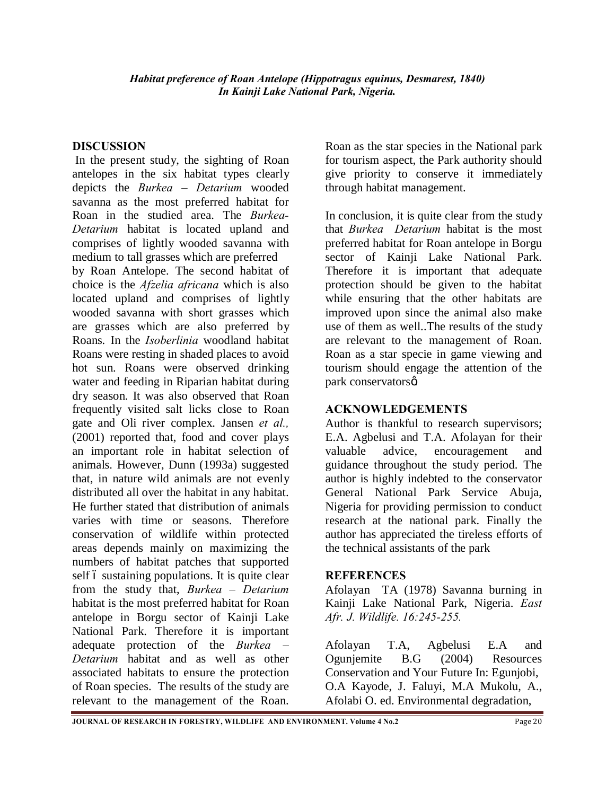# **DISCUSSION**

In the present study, the sighting of Roan antelopes in the six habitat types clearly depicts the *Burkea – Detarium* wooded savanna as the most preferred habitat for Roan in the studied area. The *Burkea-Detarium* habitat is located upland and comprises of lightly wooded savanna with medium to tall grasses which are preferred by Roan Antelope. The second habitat of choice is the *Afzelia africana* which is also located upland and comprises of lightly wooded savanna with short grasses which are grasses which are also preferred by Roans. In the *Isoberlinia* woodland habitat Roans were resting in shaded places to avoid hot sun. Roans were observed drinking water and feeding in Riparian habitat during dry season. It was also observed that Roan frequently visited salt licks close to Roan gate and Oli river complex. Jansen *et al.,* (2001) reported that, food and cover plays an important role in habitat selection of animals. However, Dunn (1993a) suggested that, in nature wild animals are not evenly distributed all over the habitat in any habitat. He further stated that distribution of animals varies with time or seasons. Therefore conservation of wildlife within protected areas depends mainly on maximizing the numbers of habitat patches that supported self 6 sustaining populations. It is quite clear from the study that, *Burkea – Detarium* habitat is the most preferred habitat for Roan antelope in Borgu sector of Kainji Lake National Park. Therefore it is important adequate protection of the *Burkea – Detarium* habitat and as well as other associated habitats to ensure the protection of Roan species. The results of the study are relevant to the management of the Roan.

Roan as the star species in the National park for tourism aspect, the Park authority should give priority to conserve it immediately through habitat management.

In conclusion, it is quite clear from the study that *Burkea Detarium* habitat is the most preferred habitat for Roan antelope in Borgu sector of Kainji Lake National Park. Therefore it is important that adequate protection should be given to the habitat while ensuring that the other habitats are improved upon since the animal also make use of them as well..The results of the study are relevant to the management of Roan. Roan as a star specie in game viewing and tourism should engage the attention of the park conservatorsø.

# **ACKNOWLEDGEMENTS**

Author is thankful to research supervisors; E.A. Agbelusi and T.A. Afolayan for their valuable advice, encouragement and guidance throughout the study period. The author is highly indebted to the conservator General National Park Service Abuja, Nigeria for providing permission to conduct research at the national park. Finally the author has appreciated the tireless efforts of the technical assistants of the park

# **REFERENCES**

Afolayan TA (1978) Savanna burning in Kainji Lake National Park, Nigeria. *East Afr. J. Wildlife. 16:245-255.*

Afolayan T.A, Agbelusi E.A and Ogunjemite B.G (2004) Resources Conservation and Your Future In: Egunjobi, O.A Kayode, J. Faluyi, M.A Mukolu, A., Afolabi O. ed. Environmental degradation,